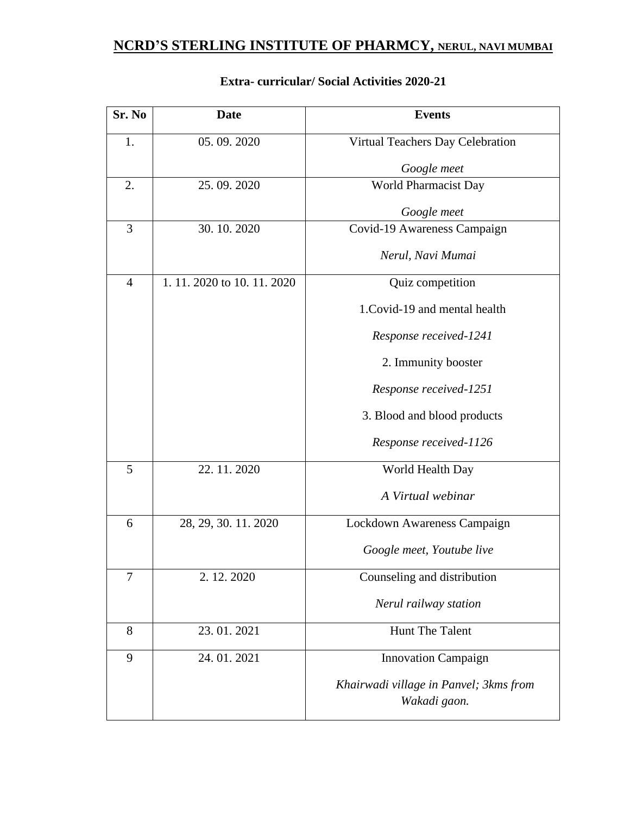| Sr. No         | Date                    | <b>Events</b>                          |
|----------------|-------------------------|----------------------------------------|
| 1.             | 05.09.2020              | Virtual Teachers Day Celebration       |
|                |                         | Google meet                            |
| 2.             | 25.09.2020              | World Pharmacist Day                   |
|                |                         | Google meet                            |
| 3              | 30.10.2020              | Covid-19 Awareness Campaign            |
|                |                         | Nerul, Navi Mumai                      |
| $\overline{4}$ | 1.11.2020 to 10.11.2020 | Quiz competition                       |
|                |                         | 1. Covid-19 and mental health          |
|                |                         | Response received-1241                 |
|                |                         | 2. Immunity booster                    |
|                |                         | Response received-1251                 |
|                |                         | 3. Blood and blood products            |
|                |                         | Response received-1126                 |
| 5              | 22.11.2020              | World Health Day                       |
|                |                         | A Virtual webinar                      |
| 6              | 28, 29, 30, 11, 2020    | Lockdown Awareness Campaign            |
|                |                         | Google meet, Youtube live              |
| 7              | 2.12.2020               | Counseling and distribution            |
|                |                         | Nerul railway station                  |
| 8              | 23.01.2021              | <b>Hunt The Talent</b>                 |
| 9              | 24.01.2021              | <b>Innovation Campaign</b>             |
|                |                         | Khairwadi village in Panvel; 3kms from |
|                |                         | Wakadi gaon.                           |

### **Extra- curricular/ Social Activities 2020-21**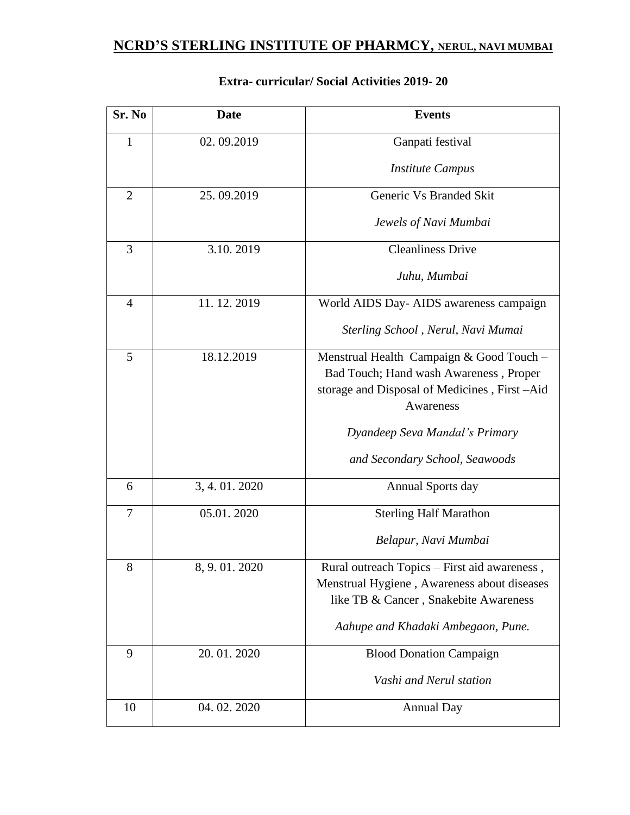| Sr. No         | <b>Date</b>  | <b>Events</b>                                |
|----------------|--------------|----------------------------------------------|
| $\mathbf{1}$   | 02.09.2019   | Ganpati festival                             |
|                |              | <b>Institute Campus</b>                      |
| $\overline{2}$ | 25.09.2019   | Generic Vs Branded Skit                      |
|                |              | Jewels of Navi Mumbai                        |
| 3              | 3.10.2019    | <b>Cleanliness Drive</b>                     |
|                |              | Juhu, Mumbai                                 |
| 4              | 11.12.2019   | World AIDS Day- AIDS awareness campaign      |
|                |              | Sterling School, Nerul, Navi Mumai           |
| 5              | 18.12.2019   | Menstrual Health Campaign & Good Touch -     |
|                |              | Bad Touch; Hand wash Awareness, Proper       |
|                |              | storage and Disposal of Medicines, First-Aid |
|                |              | Awareness                                    |
|                |              | Dyandeep Seva Mandal's Primary               |
|                |              | and Secondary School, Seawoods               |
| 6              | 3, 4.01.2020 | <b>Annual Sports day</b>                     |
| 7              | 05.01.2020   | <b>Sterling Half Marathon</b>                |
|                |              | Belapur, Navi Mumbai                         |
| 8              | 8, 9.01.2020 | Rural outreach Topics – First aid awareness, |
|                |              | Menstrual Hygiene, Awareness about diseases  |
|                |              | like TB & Cancer, Snakebite Awareness        |
|                |              | Aahupe and Khadaki Ambegaon, Pune.           |
| 9              | 20.01.2020   | <b>Blood Donation Campaign</b>               |
|                |              | Vashi and Nerul station                      |
| 10             | 04.02.2020   | <b>Annual Day</b>                            |

### **Extra- curricular/ Social Activities 2019- 20**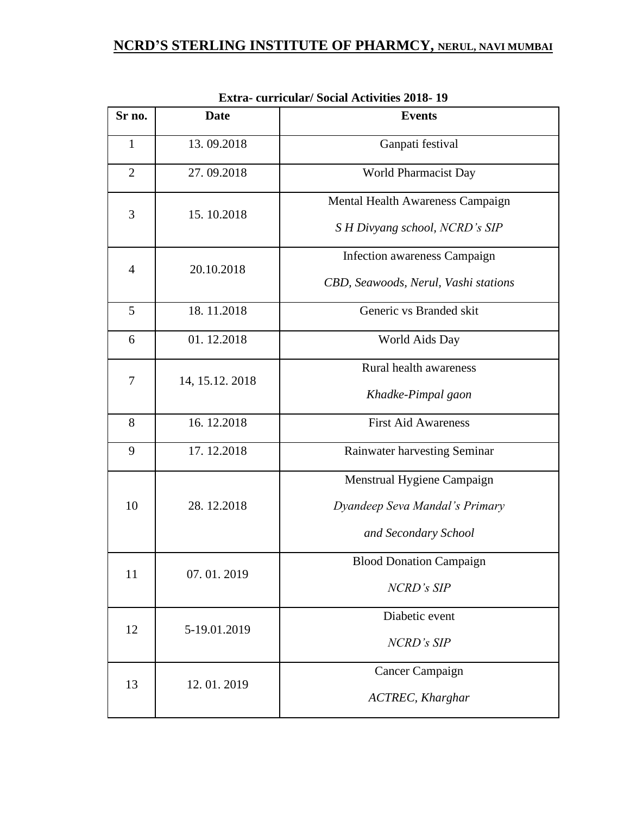| Sr no.         | <b>Date</b>     | <b>Events</b>                                                                        |
|----------------|-----------------|--------------------------------------------------------------------------------------|
| 1              | 13.09.2018      | Ganpati festival                                                                     |
| $\overline{2}$ | 27.09.2018      | World Pharmacist Day                                                                 |
| 3              | 15.10.2018      | Mental Health Awareness Campaign<br>S H Divyang school, NCRD's SIP                   |
| $\overline{4}$ | 20.10.2018      | Infection awareness Campaign<br>CBD, Seawoods, Nerul, Vashi stations                 |
| 5              | 18.11.2018      | Generic vs Branded skit                                                              |
| 6              | 01.12.2018      | World Aids Day                                                                       |
| 7              | 14, 15.12. 2018 | Rural health awareness<br>Khadke-Pimpal gaon                                         |
| 8              | 16.12.2018      | <b>First Aid Awareness</b>                                                           |
| 9              | 17.12.2018      | Rainwater harvesting Seminar                                                         |
| 10             | 28.12.2018      | Menstrual Hygiene Campaign<br>Dyandeep Seva Mandal's Primary<br>and Secondary School |
| 11             | 07.01.2019      | <b>Blood Donation Campaign</b><br>NCRD's SIP                                         |
| 12             | 5-19.01.2019    | Diabetic event<br>NCRD's SIP                                                         |
| 13             | 12.01.2019      | <b>Cancer Campaign</b><br><b>ACTREC, Kharghar</b>                                    |

**Extra- curricular/ Social Activities 2018- 19**